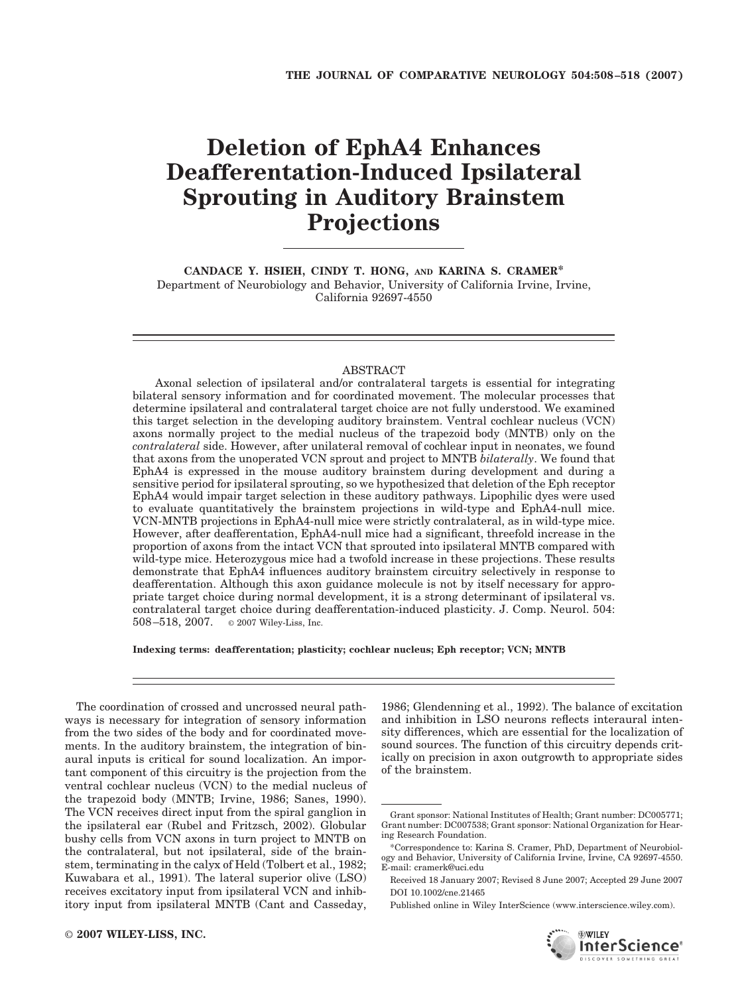# **Deletion of EphA4 Enhances Deafferentation-Induced Ipsilateral Sprouting in Auditory Brainstem Projections**

**CANDACE Y. HSIEH, CINDY T. HONG, AND KARINA S. CRAMER\*** Department of Neurobiology and Behavior, University of California Irvine, Irvine, California 92697-4550

# ABSTRACT

Axonal selection of ipsilateral and/or contralateral targets is essential for integrating bilateral sensory information and for coordinated movement. The molecular processes that determine ipsilateral and contralateral target choice are not fully understood. We examined this target selection in the developing auditory brainstem. Ventral cochlear nucleus (VCN) axons normally project to the medial nucleus of the trapezoid body (MNTB) only on the *contralateral* side. However, after unilateral removal of cochlear input in neonates, we found that axons from the unoperated VCN sprout and project to MNTB *bilaterally*. We found that EphA4 is expressed in the mouse auditory brainstem during development and during a sensitive period for ipsilateral sprouting, so we hypothesized that deletion of the Eph receptor EphA4 would impair target selection in these auditory pathways. Lipophilic dyes were used to evaluate quantitatively the brainstem projections in wild-type and EphA4-null mice. VCN-MNTB projections in EphA4-null mice were strictly contralateral, as in wild-type mice. However, after deafferentation, EphA4-null mice had a significant, threefold increase in the proportion of axons from the intact VCN that sprouted into ipsilateral MNTB compared with wild-type mice. Heterozygous mice had a twofold increase in these projections. These results demonstrate that EphA4 influences auditory brainstem circuitry selectively in response to deafferentation. Although this axon guidance molecule is not by itself necessary for appropriate target choice during normal development, it is a strong determinant of ipsilateral vs. contralateral target choice during deafferentation-induced plasticity. J. Comp. Neurol. 504: 508 –518, 2007. © 2007 Wiley-Liss, Inc.

**Indexing terms: deafferentation; plasticity; cochlear nucleus; Eph receptor; VCN; MNTB**

The coordination of crossed and uncrossed neural pathways is necessary for integration of sensory information from the two sides of the body and for coordinated movements. In the auditory brainstem, the integration of binaural inputs is critical for sound localization. An important component of this circuitry is the projection from the ventral cochlear nucleus (VCN) to the medial nucleus of the trapezoid body (MNTB; Irvine, 1986; Sanes, 1990). The VCN receives direct input from the spiral ganglion in the ipsilateral ear (Rubel and Fritzsch, 2002). Globular bushy cells from VCN axons in turn project to MNTB on the contralateral, but not ipsilateral, side of the brainstem, terminating in the calyx of Held (Tolbert et al., 1982; Kuwabara et al., 1991). The lateral superior olive (LSO) receives excitatory input from ipsilateral VCN and inhibitory input from ipsilateral MNTB (Cant and Casseday,

1986; Glendenning et al., 1992). The balance of excitation and inhibition in LSO neurons reflects interaural intensity differences, which are essential for the localization of sound sources. The function of this circuitry depends critically on precision in axon outgrowth to appropriate sides of the brainstem.

Published online in Wiley InterScience (www.interscience.wiley.com).



Grant sponsor: National Institutes of Health; Grant number: DC005771; Grant number: DC007538; Grant sponsor: National Organization for Hearing Research Foundation.

<sup>\*</sup>Correspondence to: Karina S. Cramer, PhD, Department of Neurobiology and Behavior, University of California Irvine, Irvine, CA 92697-4550. E-mail: cramerk@uci.edu

Received 18 January 2007; Revised 8 June 2007; Accepted 29 June 2007 DOI 10.1002/cne.21465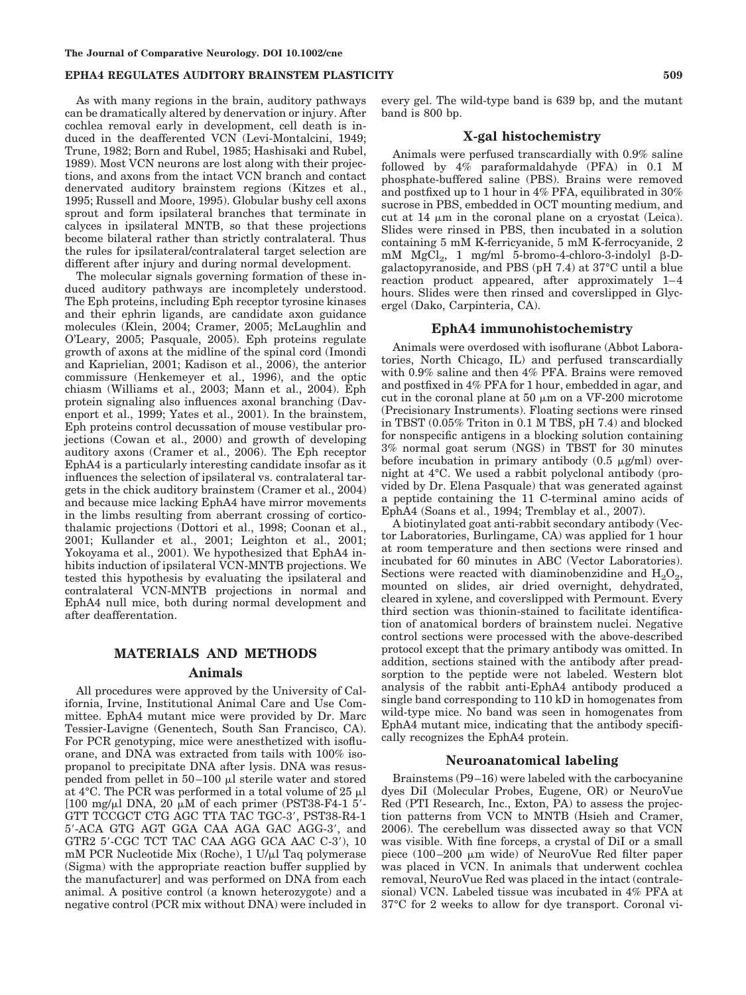As with many regions in the brain, auditory pathways can be dramatically altered by denervation or injury. After cochlea removal early in development, cell death is induced in the deafferented VCN (Levi-Montalcini, 1949; Trune, 1982; Born and Rubel, 1985; Hashisaki and Rubel, 1989). Most VCN neurons are lost along with their projections, and axons from the intact VCN branch and contact denervated auditory brainstem regions (Kitzes et al., 1995; Russell and Moore, 1995). Globular bushy cell axons sprout and form ipsilateral branches that terminate in calyces in ipsilateral MNTB, so that these projections become bilateral rather than strictly contralateral. Thus the rules for ipsilateral/contralateral target selection are different after injury and during normal development.

The molecular signals governing formation of these induced auditory pathways are incompletely understood. The Eph proteins, including Eph receptor tyrosine kinases and their ephrin ligands, are candidate axon guidance molecules (Klein, 2004; Cramer, 2005; McLaughlin and O'Leary, 2005; Pasquale, 2005). Eph proteins regulate growth of axons at the midline of the spinal cord (Imondi and Kaprielian, 2001; Kadison et al., 2006), the anterior commissure (Henkemeyer et al., 1996), and the optic chiasm (Williams et al., 2003; Mann et al., 2004). Eph protein signaling also influences axonal branching (Davenport et al., 1999; Yates et al., 2001). In the brainstem, Eph proteins control decussation of mouse vestibular projections (Cowan et al., 2000) and growth of developing auditory axons (Cramer et al., 2006). The Eph receptor EphA4 is a particularly interesting candidate insofar as it influences the selection of ipsilateral vs. contralateral targets in the chick auditory brainstem (Cramer et al., 2004) and because mice lacking EphA4 have mirror movements in the limbs resulting from aberrant crossing of corticothalamic projections (Dottori et al., 1998; Coonan et al., 2001; Kullander et al., 2001; Leighton et al., 2001; Yokoyama et al., 2001). We hypothesized that EphA4 inhibits induction of ipsilateral VCN-MNTB projections. We tested this hypothesis by evaluating the ipsilateral and contralateral VCN-MNTB projections in normal and EphA4 null mice, both during normal development and after deafferentation.

# **MATERIALS AND METHODS Animals**

All procedures were approved by the University of California, Irvine, Institutional Animal Care and Use Committee. EphA4 mutant mice were provided by Dr. Marc Tessier-Lavigne (Genentech, South San Francisco, CA). For PCR genotyping, mice were anesthetized with isofluorane, and DNA was extracted from tails with 100% isopropanol to precipitate DNA after lysis. DNA was resuspended from pellet in  $50-100 \mu l$  sterile water and stored at 4 $\degree$ C. The PCR was performed in a total volume of 25  $\mu$ l [100 mg/ $\mu$ l DNA, 20  $\mu$ M of each primer (PST38-F4-1 5'-GTT TCCGCT CTG AGC TTA TAC TGC-3', PST38-R4-1 5--ACA GTG AGT GGA CAA AGA GAC AGG-3-, and GTR2 5'-CGC TCT TAC CAA AGG GCA AAC C-3'), 10 mM PCR Nucleotide Mix (Roche),  $1 U/\mu$ l Taq polymerase (Sigma) with the appropriate reaction buffer supplied by the manufacturer] and was performed on DNA from each animal. A positive control (a known heterozygote) and a negative control (PCR mix without DNA) were included in every gel. The wild-type band is 639 bp, and the mutant band is 800 bp.

# **X-gal histochemistry**

Animals were perfused transcardially with 0.9% saline followed by 4% paraformaldahyde (PFA) in 0.1 M phosphate-buffered saline (PBS). Brains were removed and postfixed up to 1 hour in 4% PFA, equilibrated in 30% sucrose in PBS, embedded in OCT mounting medium, and cut at 14  $\mu$ m in the coronal plane on a cryostat (Leica). Slides were rinsed in PBS, then incubated in a solution containing 5 mM K-ferricyanide, 5 mM K-ferrocyanide, 2 mM  $MgCl<sub>2</sub>$ , 1 mg/ml 5-bromo-4-chloro-3-indolyl  $\beta$ -Dgalactopyranoside, and PBS (pH 7.4) at 37°C until a blue reaction product appeared, after approximately  $1-4$ hours. Slides were then rinsed and coverslipped in Glycergel (Dako, Carpinteria, CA).

## **EphA4 immunohistochemistry**

Animals were overdosed with isoflurane (Abbot Laboratories, North Chicago, IL) and perfused transcardially with 0.9% saline and then 4% PFA. Brains were removed and postfixed in 4% PFA for 1 hour, embedded in agar, and cut in the coronal plane at  $50 \mu m$  on a VF-200 microtome (Precisionary Instruments). Floating sections were rinsed in TBST (0.05% Triton in 0.1 M TBS, pH 7.4) and blocked for nonspecific antigens in a blocking solution containing 3% normal goat serum (NGS) in TBST for 30 minutes before incubation in primary antibody  $(0.5 \mu g/ml)$  overnight at 4°C. We used a rabbit polyclonal antibody (provided by Dr. Elena Pasquale) that was generated against a peptide containing the 11 C-terminal amino acids of EphA4 (Soans et al., 1994; Tremblay et al., 2007).

A biotinylated goat anti-rabbit secondary antibody (Vector Laboratories, Burlingame, CA) was applied for 1 hour at room temperature and then sections were rinsed and incubated for 60 minutes in ABC (Vector Laboratories). Sections were reacted with diaminobenzidine and  $H_2O_2$ , mounted on slides, air dried overnight, dehydrated, cleared in xylene, and coverslipped with Permount. Every third section was thionin-stained to facilitate identification of anatomical borders of brainstem nuclei. Negative control sections were processed with the above-described protocol except that the primary antibody was omitted. In addition, sections stained with the antibody after preadsorption to the peptide were not labeled. Western blot analysis of the rabbit anti-EphA4 antibody produced a single band corresponding to 110 kD in homogenates from wild-type mice. No band was seen in homogenates from EphA4 mutant mice, indicating that the antibody specifically recognizes the EphA4 protein.

## **Neuroanatomical labeling**

Brainstems (P9 –16) were labeled with the carbocyanine dyes DiI (Molecular Probes, Eugene, OR) or NeuroVue Red (PTI Research, Inc., Exton, PA) to assess the projection patterns from VCN to MNTB (Hsieh and Cramer, 2006). The cerebellum was dissected away so that VCN was visible. With fine forceps, a crystal of DiI or a small piece  $(100-200 \mu m \text{ wide})$  of NeuroVue Red filter paper was placed in VCN. In animals that underwent cochlea removal, NeuroVue Red was placed in the intact (contralesional) VCN. Labeled tissue was incubated in 4% PFA at 37°C for 2 weeks to allow for dye transport. Coronal vi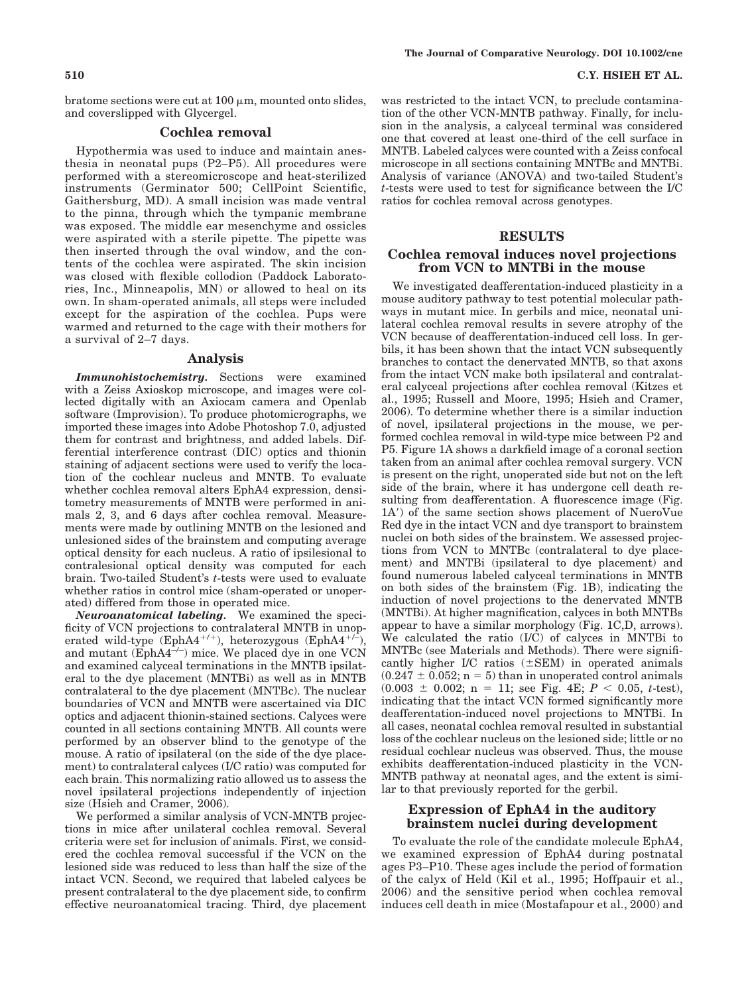bratome sections were cut at  $100 \mu m$ , mounted onto slides, and coverslipped with Glycergel.

# **Cochlea removal**

Hypothermia was used to induce and maintain anesthesia in neonatal pups (P2–P5). All procedures were performed with a stereomicroscope and heat-sterilized instruments (Germinator 500; CellPoint Scientific, Gaithersburg, MD). A small incision was made ventral to the pinna, through which the tympanic membrane was exposed. The middle ear mesenchyme and ossicles were aspirated with a sterile pipette. The pipette was then inserted through the oval window, and the contents of the cochlea were aspirated. The skin incision was closed with flexible collodion (Paddock Laboratories, Inc., Minneapolis, MN) or allowed to heal on its own. In sham-operated animals, all steps were included except for the aspiration of the cochlea. Pups were warmed and returned to the cage with their mothers for a survival of 2–7 days.

#### **Analysis**

*Immunohistochemistry.* Sections were examined with a Zeiss Axioskop microscope, and images were collected digitally with an Axiocam camera and Openlab software (Improvision). To produce photomicrographs, we imported these images into Adobe Photoshop 7.0, adjusted them for contrast and brightness, and added labels. Differential interference contrast (DIC) optics and thionin staining of adjacent sections were used to verify the location of the cochlear nucleus and MNTB. To evaluate whether cochlea removal alters EphA4 expression, densitometry measurements of MNTB were performed in animals 2, 3, and 6 days after cochlea removal. Measurements were made by outlining MNTB on the lesioned and unlesioned sides of the brainstem and computing average optical density for each nucleus. A ratio of ipsilesional to contralesional optical density was computed for each brain. Two-tailed Student's *t*-tests were used to evaluate whether ratios in control mice (sham-operated or unoperated) differed from those in operated mice.

*Neuroanatomical labeling.* We examined the specificity of VCN projections to contralateral MNTB in unoperated wild-type (EphA4<sup>+/+</sup>), heterozygous (EphA4<sup>+/-</sup>), and mutant ( $EphA4^{-/-}$ ) mice. We placed dye in one VCN and examined calyceal terminations in the MNTB ipsilateral to the dye placement (MNTBi) as well as in MNTB contralateral to the dye placement (MNTBc). The nuclear boundaries of VCN and MNTB were ascertained via DIC optics and adjacent thionin-stained sections. Calyces were counted in all sections containing MNTB. All counts were performed by an observer blind to the genotype of the mouse. A ratio of ipsilateral (on the side of the dye placement) to contralateral calyces (I/C ratio) was computed for each brain. This normalizing ratio allowed us to assess the novel ipsilateral projections independently of injection size (Hsieh and Cramer, 2006).

We performed a similar analysis of VCN-MNTB projections in mice after unilateral cochlea removal. Several criteria were set for inclusion of animals. First, we considered the cochlea removal successful if the VCN on the lesioned side was reduced to less than half the size of the intact VCN. Second, we required that labeled calyces be present contralateral to the dye placement side, to confirm effective neuroanatomical tracing. Third, dye placement

was restricted to the intact VCN, to preclude contamination of the other VCN-MNTB pathway. Finally, for inclusion in the analysis, a calyceal terminal was considered one that covered at least one-third of the cell surface in MNTB. Labeled calyces were counted with a Zeiss confocal microscope in all sections containing MNTBc and MNTBi. Analysis of variance (ANOVA) and two-tailed Student's *t*-tests were used to test for significance between the I/C ratios for cochlea removal across genotypes.

# **RESULTS**

# **Cochlea removal induces novel projections from VCN to MNTBi in the mouse**

We investigated deafferentation-induced plasticity in a mouse auditory pathway to test potential molecular pathways in mutant mice. In gerbils and mice, neonatal unilateral cochlea removal results in severe atrophy of the VCN because of deafferentation-induced cell loss. In gerbils, it has been shown that the intact VCN subsequently branches to contact the denervated MNTB, so that axons from the intact VCN make both ipsilateral and contralateral calyceal projections after cochlea removal (Kitzes et al., 1995; Russell and Moore, 1995; Hsieh and Cramer, 2006). To determine whether there is a similar induction of novel, ipsilateral projections in the mouse, we performed cochlea removal in wild-type mice between P2 and P5. Figure 1A shows a darkfield image of a coronal section taken from an animal after cochlea removal surgery. VCN is present on the right, unoperated side but not on the left side of the brain, where it has undergone cell death resulting from deafferentation. A fluorescence image (Fig. 1A<sup>'</sup>) of the same section shows placement of NueroVue Red dye in the intact VCN and dye transport to brainstem nuclei on both sides of the brainstem. We assessed projections from VCN to MNTBc (contralateral to dye placement) and MNTBi (ipsilateral to dye placement) and found numerous labeled calyceal terminations in MNTB on both sides of the brainstem (Fig. 1B), indicating the induction of novel projections to the denervated MNTB (MNTBi). At higher magnification, calyces in both MNTBs appear to have a similar morphology (Fig. 1C,D, arrows). We calculated the ratio (I/C) of calyces in MNTBi to MNTBc (see Materials and Methods). There were significantly higher  $\text{IC}$  ratios  $(\pm \text{SEM})$  in operated animals  $(0.247 \pm 0.052; n = 5)$  than in unoperated control animals  $(0.003 \pm 0.002; n = 11;$  see Fig. 4E;  $P < 0.05$ , *t*-test), indicating that the intact VCN formed significantly more deafferentation-induced novel projections to MNTBi. In all cases, neonatal cochlea removal resulted in substantial loss of the cochlear nucleus on the lesioned side; little or no residual cochlear nucleus was observed. Thus, the mouse exhibits deafferentation-induced plasticity in the VCN-MNTB pathway at neonatal ages, and the extent is similar to that previously reported for the gerbil.

# **Expression of EphA4 in the auditory brainstem nuclei during development**

To evaluate the role of the candidate molecule EphA4, we examined expression of EphA4 during postnatal ages P3–P10. These ages include the period of formation of the calyx of Held (Kil et al., 1995; Hoffpauir et al., 2006) and the sensitive period when cochlea removal induces cell death in mice (Mostafapour et al., 2000) and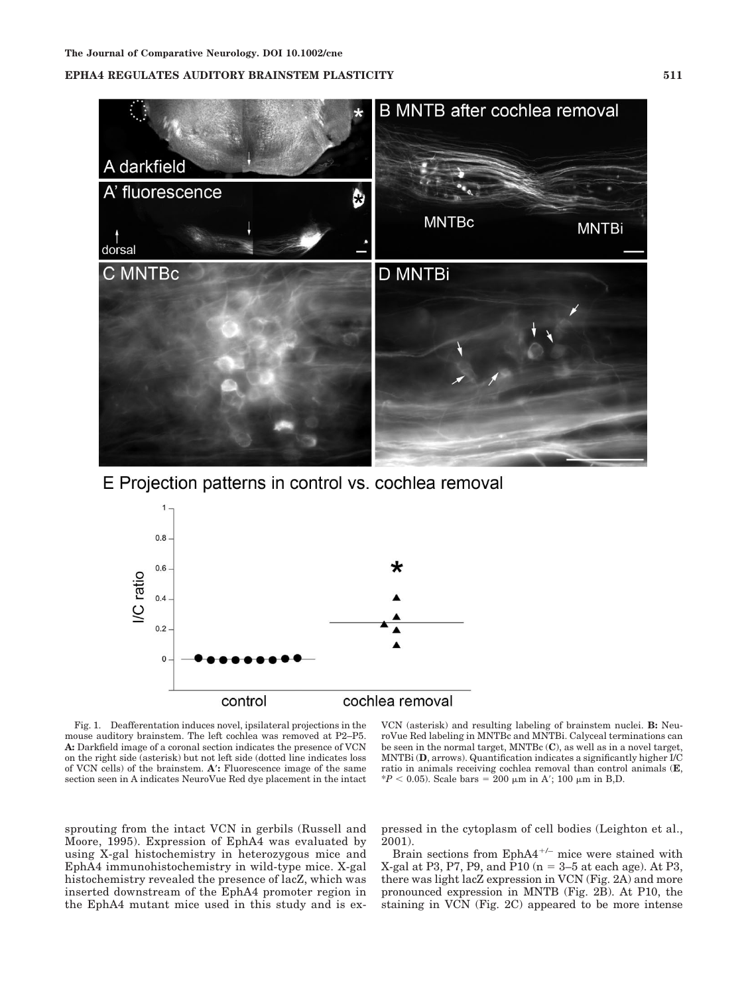

E Projection patterns in control vs. cochlea removal



Fig. 1. Deafferentation induces novel, ipsilateral projections in the mouse auditory brainstem. The left cochlea was removed at P2–P5. **A:** Darkfield image of a coronal section indicates the presence of VCN on the right side (asterisk) but not left side (dotted line indicates loss of VCN cells) of the brainstem. **A:** Fluorescence image of the same section seen in A indicates NeuroVue Red dye placement in the intact

VCN (asterisk) and resulting labeling of brainstem nuclei. **B:** NeuroVue Red labeling in MNTBc and MNTBi. Calyceal terminations can be seen in the normal target, MNTBc (**C**), as well as in a novel target, MNTBi (**D**, arrows). Quantification indicates a significantly higher I/C ratio in animals receiving cochlea removal than control animals (**E**,  $*P < 0.05$ ). Scale bars = 200  $\mu$ m in A'; 100  $\mu$ m in B,D.

sprouting from the intact VCN in gerbils (Russell and Moore, 1995). Expression of EphA4 was evaluated by using X-gal histochemistry in heterozygous mice and EphA4 immunohistochemistry in wild-type mice. X-gal histochemistry revealed the presence of lacZ, which was inserted downstream of the EphA4 promoter region in the EphA4 mutant mice used in this study and is expressed in the cytoplasm of cell bodies (Leighton et al., 2001).

Brain sections from  $EphA4^{+/-}$  mice were stained with X-gal at P3, P7, P9, and  $P10$  (n = 3–5 at each age). At P3, there was light lacZ expression in VCN (Fig. 2A) and more pronounced expression in MNTB (Fig. 2B). At P10, the staining in VCN (Fig. 2C) appeared to be more intense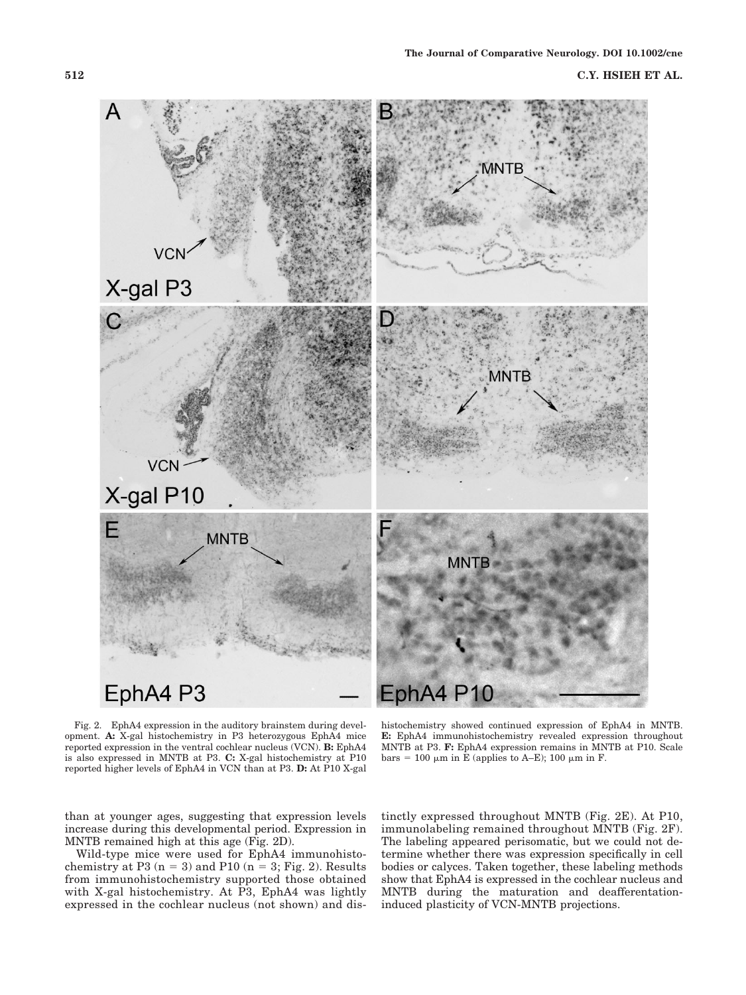

Fig. 2. EphA4 expression in the auditory brainstem during development. **A:** X-gal histochemistry in P3 heterozygous EphA4 mice reported expression in the ventral cochlear nucleus (VCN). **B:** EphA4 is also expressed in MNTB at P3. **C:** X-gal histochemistry at P10 reported higher levels of EphA4 in VCN than at P3. **D:** At P10 X-gal

histochemistry showed continued expression of EphA4 in MNTB. **E:** EphA4 immunohistochemistry revealed expression throughout MNTB at P3. **F:** EphA4 expression remains in MNTB at P10. Scale bars = 100  $\mu$ m in E (applies to A–E); 100  $\mu$ m in F.

than at younger ages, suggesting that expression levels increase during this developmental period. Expression in MNTB remained high at this age (Fig. 2D).

Wild-type mice were used for EphA4 immunohistochemistry at P3 ( $n = 3$ ) and P10 ( $n = 3$ ; Fig. 2). Results from immunohistochemistry supported those obtained with X-gal histochemistry. At P3, EphA4 was lightly expressed in the cochlear nucleus (not shown) and distinctly expressed throughout MNTB (Fig. 2E). At P10, immunolabeling remained throughout MNTB (Fig. 2F). The labeling appeared perisomatic, but we could not determine whether there was expression specifically in cell bodies or calyces. Taken together, these labeling methods show that EphA4 is expressed in the cochlear nucleus and MNTB during the maturation and deafferentationinduced plasticity of VCN-MNTB projections.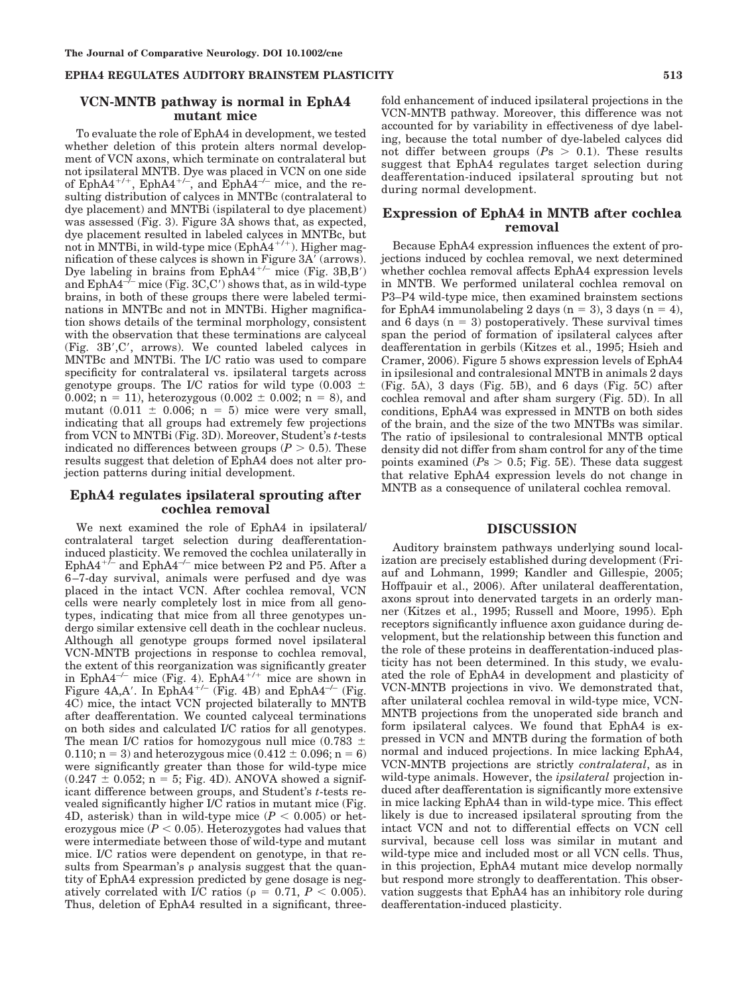# **VCN-MNTB pathway is normal in EphA4 mutant mice**

To evaluate the role of EphA4 in development, we tested whether deletion of this protein alters normal development of VCN axons, which terminate on contralateral but not ipsilateral MNTB. Dye was placed in VCN on one side of EphA4<sup>+/+</sup>, EphA4<sup>+/-</sup>, and EphA4<sup>-/-</sup> mice, and the resulting distribution of calyces in MNTBc (contralateral to dye placement) and MNTBi (ispilateral to dye placement) was assessed (Fig. 3). Figure 3A shows that, as expected, dye placement resulted in labeled calyces in MNTBc, but not in MNTBi, in wild-type mice  $(Eph\AA^{+/+})$ . Higher magnification of these calyces is shown in Figure 3A' (arrows).<br>Dye labeling in brains from EphA4<sup>+/-</sup> mice (Fig. 3B,B')<br>and EphA4<sup>-/-</sup> mice (Fig. 3C,C') shows that, as in wild-type brains, in both of these groups there were labeled terminations in MNTBc and not in MNTBi. Higher magnification shows details of the terminal morphology, consistent with the observation that these terminations are calyceal (Fig. 3B',C', arrows). We counted labeled calyces in MNTBc and MNTBi. The I/C ratio was used to compare specificity for contralateral vs. ipsilateral targets across genotype groups. The I/C ratios for wild type (0.003  $\pm$ 0.002;  $n = 11$ ), heterozygous (0.002  $\pm$  0.002; n = 8), and mutant  $(0.011 \pm 0.006; n = 5)$  mice were very small, indicating that all groups had extremely few projections from VCN to MNTBi (Fig. 3D). Moreover, Student's *t*-tests indicated no differences between groups  $(P > 0.5)$ . These results suggest that deletion of EphA4 does not alter projection patterns during initial development.

# **EphA4 regulates ipsilateral sprouting after cochlea removal**

We next examined the role of EphA4 in ipsilateral/ contralateral target selection during deafferentationinduced plasticity. We removed the cochlea unilaterally in EphA4<sup>+/-</sup> and EphA4<sup>-/-</sup> mice between P2 and P5. After a 6 –7-day survival, animals were perfused and dye was placed in the intact VCN. After cochlea removal, VCN cells were nearly completely lost in mice from all genotypes, indicating that mice from all three genotypes undergo similar extensive cell death in the cochlear nucleus. Although all genotype groups formed novel ipsilateral VCN-MNTB projections in response to cochlea removal, the extent of this reorganization was significantly greater in EphA4<sup>-/-</sup> mice (Fig. 4). EphA4<sup>+/+</sup> mice are shown in Figure 4A,A'. In EphA4<sup>+/-</sup> (Fig. 4B) and EphA4<sup>-/-</sup> (Fig. 4C) mice, the intact VCN projected bilaterally to MNTB after deafferentation. We counted calyceal terminations on both sides and calculated I/C ratios for all genotypes. The mean I/C ratios for homozygous null mice  $(0.783 \pm$ 0.110;  $n = 3$ ) and heterozygous mice (0.412  $\pm$  0.096; n = 6) were significantly greater than those for wild-type mice  $(0.247 \pm 0.052; n = 5; Fig. 4D)$ . ANOVA showed a significant difference between groups, and Student's *t*-tests revealed significantly higher I/C ratios in mutant mice (Fig. 4D, asterisk) than in wild-type mice  $(P < 0.005)$  or heterozygous mice  $(P < 0.05)$ . Heterozygotes had values that were intermediate between those of wild-type and mutant mice. I/C ratios were dependent on genotype, in that results from Spearman's  $\rho$  analysis suggest that the quantity of EphA4 expression predicted by gene dosage is negatively correlated with I/C ratios ( $\rho = 0.71, P < 0.005$ ). Thus, deletion of EphA4 resulted in a significant, threefold enhancement of induced ipsilateral projections in the VCN-MNTB pathway. Moreover, this difference was not accounted for by variability in effectiveness of dye labeling, because the total number of dye-labeled calyces did not differ between groups  $(P_{\rm S} > 0.1)$ . These results suggest that EphA4 regulates target selection during deafferentation-induced ipsilateral sprouting but not during normal development.

# **Expression of EphA4 in MNTB after cochlea removal**

Because EphA4 expression influences the extent of projections induced by cochlea removal, we next determined whether cochlea removal affects EphA4 expression levels in MNTB. We performed unilateral cochlea removal on P3–P4 wild-type mice, then examined brainstem sections for EphA4 immunolabeling 2 days  $(n = 3)$ , 3 days  $(n = 4)$ , and 6 days  $(n = 3)$  postoperatively. These survival times span the period of formation of ipsilateral calyces after deafferentation in gerbils (Kitzes et al., 1995; Hsieh and Cramer, 2006). Figure 5 shows expression levels of EphA4 in ipsilesional and contralesional MNTB in animals 2 days (Fig. 5A), 3 days (Fig. 5B), and 6 days (Fig. 5C) after cochlea removal and after sham surgery (Fig. 5D). In all conditions, EphA4 was expressed in MNTB on both sides of the brain, and the size of the two MNTBs was similar. The ratio of ipsilesional to contralesional MNTB optical density did not differ from sham control for any of the time points examined  $(Ps > 0.5; Fig. 5E)$ . These data suggest that relative EphA4 expression levels do not change in MNTB as a consequence of unilateral cochlea removal.

# **DISCUSSION**

Auditory brainstem pathways underlying sound localization are precisely established during development (Friauf and Lohmann, 1999; Kandler and Gillespie, 2005; Hoffpauir et al., 2006). After unilateral deafferentation, axons sprout into denervated targets in an orderly manner (Kitzes et al., 1995; Russell and Moore, 1995). Eph receptors significantly influence axon guidance during development, but the relationship between this function and the role of these proteins in deafferentation-induced plasticity has not been determined. In this study, we evaluated the role of EphA4 in development and plasticity of VCN-MNTB projections in vivo. We demonstrated that, after unilateral cochlea removal in wild-type mice, VCN-MNTB projections from the unoperated side branch and form ipsilateral calyces. We found that EphA4 is expressed in VCN and MNTB during the formation of both normal and induced projections. In mice lacking EphA4, VCN-MNTB projections are strictly *contralateral*, as in wild-type animals. However, the *ipsilateral* projection induced after deafferentation is significantly more extensive in mice lacking EphA4 than in wild-type mice. This effect likely is due to increased ipsilateral sprouting from the intact VCN and not to differential effects on VCN cell survival, because cell loss was similar in mutant and wild-type mice and included most or all VCN cells. Thus, in this projection, EphA4 mutant mice develop normally but respond more strongly to deafferentation. This observation suggests that EphA4 has an inhibitory role during deafferentation-induced plasticity.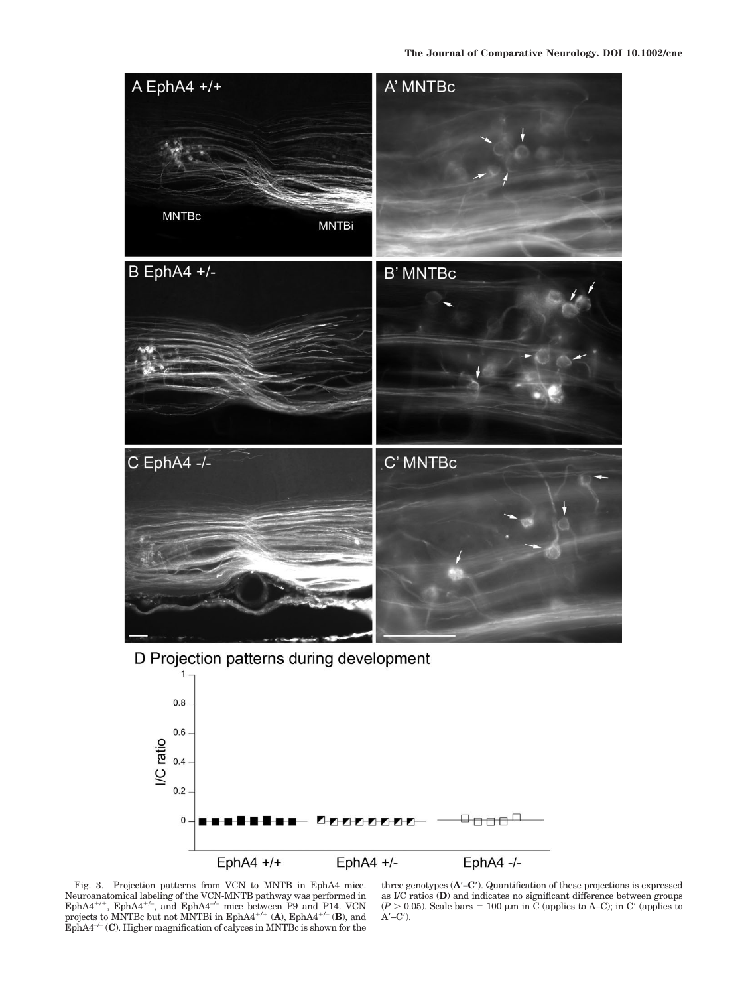

EphA4 -/- $EphA4$  +/+ EphA4 +/-

Fig. 3. Projection patterns from VCN to MNTB in EphA4 mice. Neuroanatomical labeling of the VCN-MNTB pathway was performed in<br>EphA4<sup>+/+</sup>, EphA4<sup>+/-</sup>, and EphA4<sup>-/-</sup> mice between P9 and P14. VCN projects to MNTBc but not MNTBi in  $\text{EphA4}^{+/+}$  (A),  $\text{EphA4}^{+/-}$  (B), and  $\text{EphA4}^{-/-}$  (C). Higher magnification of calyces in MNTBc is shown for the

three genotypes (**A–C**). Quantification of these projections is expressed as I/C ratios (**D**) and indicates no significant difference between groups  $(P > 0.05)$ . Scale bars = 100  $\mu$ m in C (applies to A–C); in C' (applies to  $A'-C'$ ).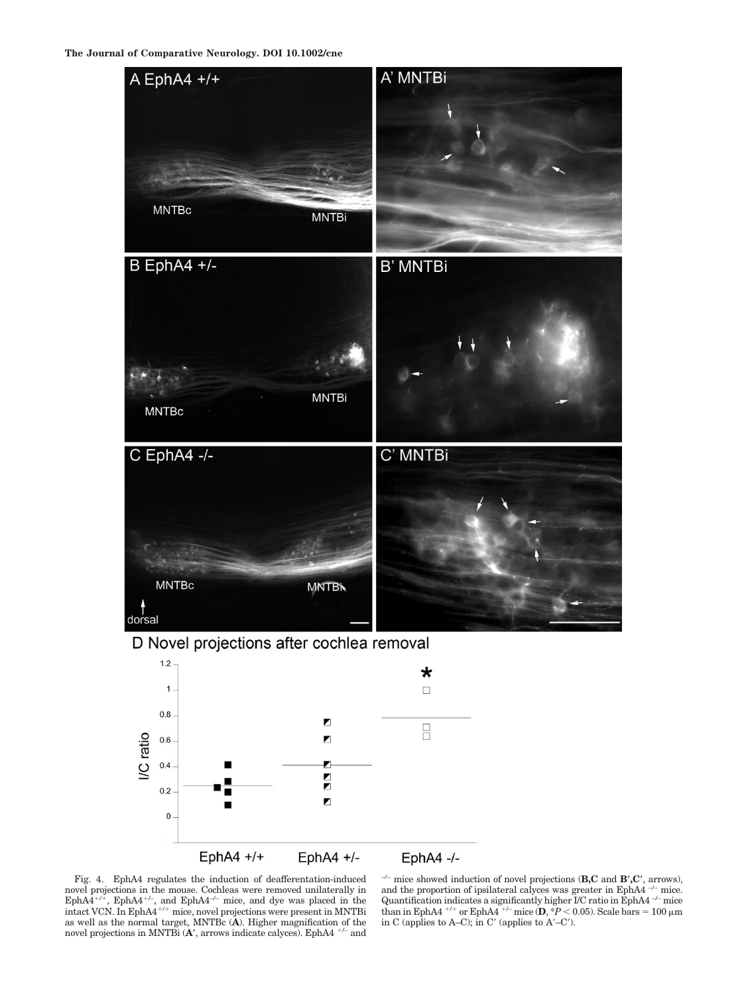

D Novel projections after cochlea removal



Fig. 4. EphA4 regulates the induction of deafferentation-induced novel projections in the mouse. Cochleas were removed unilaterally in EphA4<sup>+/+</sup>, EphA4<sup>+/-</sup>, and EphA4<sup>-/-</sup> mice, and dye was placed in the intact VCN. In EphA4<sup>+/+</sup> mice, novel projections were present in MNTBi as well as the normal target, MNTBc (**A**). Higher magnification of the novel projections in MNTBi (A', arrows indicate calyces). EphA4<sup>+/-</sup> and

–/– mice showed induction of novel projections (**B,C** and **B,C**, arrows), and the proportion of ipsilateral calyces was greater in EphA4  $-$  mice. Quantification indicates a significantly higher  $\overline{I/C}$  ratio in EphA4<sup>-/-</sup> mice than in EphA4<sup>+/+</sup> or EphA4<sup>+/-</sup> mice ( $\mathbf{D}$ ,  $*P$  < 0.05). Scale bars = 100  $\mu$ m in C (applies to A–C); in C' (applies to  $A'-C'$ ).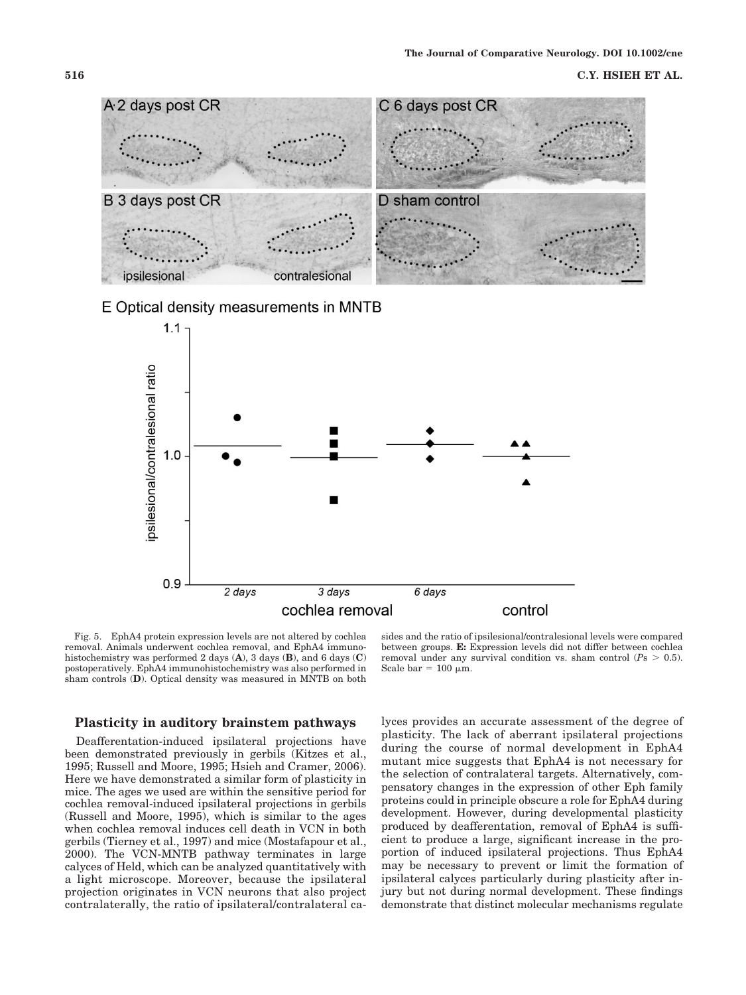## **516 C.Y. HSIEH ET AL.**



E Optical density measurements in MNTB



Fig. 5. EphA4 protein expression levels are not altered by cochlea removal. Animals underwent cochlea removal, and EphA4 immunohistochemistry was performed 2 days (**A**), 3 days (**B**), and 6 days (**C**) postoperatively. EphA4 immunohistochemistry was also performed in sham controls (**D**). Optical density was measured in MNTB on both

sides and the ratio of ipsilesional/contralesional levels were compared between groups. **E:** Expression levels did not differ between cochlea removal under any survival condition vs. sham control  $(Ps > 0.5)$ . Scale bar =  $100 \mu m$ .

# **Plasticity in auditory brainstem pathways**

Deafferentation-induced ipsilateral projections have been demonstrated previously in gerbils (Kitzes et al., 1995; Russell and Moore, 1995; Hsieh and Cramer, 2006). Here we have demonstrated a similar form of plasticity in mice. The ages we used are within the sensitive period for cochlea removal-induced ipsilateral projections in gerbils (Russell and Moore, 1995), which is similar to the ages when cochlea removal induces cell death in VCN in both gerbils (Tierney et al., 1997) and mice (Mostafapour et al., 2000). The VCN-MNTB pathway terminates in large calyces of Held, which can be analyzed quantitatively with a light microscope. Moreover, because the ipsilateral projection originates in VCN neurons that also project contralaterally, the ratio of ipsilateral/contralateral calyces provides an accurate assessment of the degree of plasticity. The lack of aberrant ipsilateral projections during the course of normal development in EphA4 mutant mice suggests that EphA4 is not necessary for the selection of contralateral targets. Alternatively, compensatory changes in the expression of other Eph family proteins could in principle obscure a role for EphA4 during development. However, during developmental plasticity produced by deafferentation, removal of EphA4 is sufficient to produce a large, significant increase in the proportion of induced ipsilateral projections. Thus EphA4 may be necessary to prevent or limit the formation of ipsilateral calyces particularly during plasticity after injury but not during normal development. These findings demonstrate that distinct molecular mechanisms regulate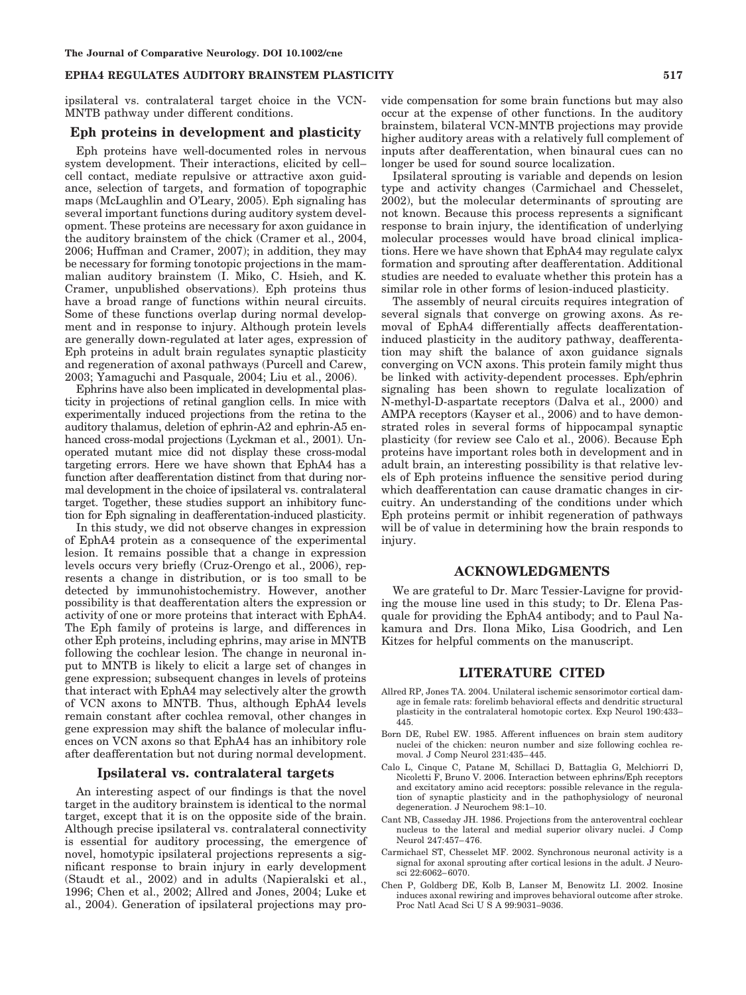ipsilateral vs. contralateral target choice in the VCN-MNTB pathway under different conditions.

# **Eph proteins in development and plasticity**

Eph proteins have well-documented roles in nervous system development. Their interactions, elicited by cell– cell contact, mediate repulsive or attractive axon guidance, selection of targets, and formation of topographic maps (McLaughlin and O'Leary, 2005). Eph signaling has several important functions during auditory system development. These proteins are necessary for axon guidance in the auditory brainstem of the chick (Cramer et al., 2004, 2006; Huffman and Cramer, 2007); in addition, they may be necessary for forming tonotopic projections in the mammalian auditory brainstem (I. Miko, C. Hsieh, and K. Cramer, unpublished observations). Eph proteins thus have a broad range of functions within neural circuits. Some of these functions overlap during normal development and in response to injury. Although protein levels are generally down-regulated at later ages, expression of Eph proteins in adult brain regulates synaptic plasticity and regeneration of axonal pathways (Purcell and Carew, 2003; Yamaguchi and Pasquale, 2004; Liu et al., 2006).

Ephrins have also been implicated in developmental plasticity in projections of retinal ganglion cells. In mice with experimentally induced projections from the retina to the auditory thalamus, deletion of ephrin-A2 and ephrin-A5 enhanced cross-modal projections (Lyckman et al., 2001). Unoperated mutant mice did not display these cross-modal targeting errors. Here we have shown that EphA4 has a function after deafferentation distinct from that during normal development in the choice of ipsilateral vs. contralateral target. Together, these studies support an inhibitory function for Eph signaling in deafferentation-induced plasticity.

In this study, we did not observe changes in expression of EphA4 protein as a consequence of the experimental lesion. It remains possible that a change in expression levels occurs very briefly (Cruz-Orengo et al., 2006), represents a change in distribution, or is too small to be detected by immunohistochemistry. However, another possibility is that deafferentation alters the expression or activity of one or more proteins that interact with EphA4. The Eph family of proteins is large, and differences in other Eph proteins, including ephrins, may arise in MNTB following the cochlear lesion. The change in neuronal input to MNTB is likely to elicit a large set of changes in gene expression; subsequent changes in levels of proteins that interact with EphA4 may selectively alter the growth of VCN axons to MNTB. Thus, although EphA4 levels remain constant after cochlea removal, other changes in gene expression may shift the balance of molecular influences on VCN axons so that EphA4 has an inhibitory role after deafferentation but not during normal development.

# **Ipsilateral vs. contralateral targets**

An interesting aspect of our findings is that the novel target in the auditory brainstem is identical to the normal target, except that it is on the opposite side of the brain. Although precise ipsilateral vs. contralateral connectivity is essential for auditory processing, the emergence of novel, homotypic ipsilateral projections represents a significant response to brain injury in early development (Staudt et al., 2002) and in adults (Napieralski et al., 1996; Chen et al., 2002; Allred and Jones, 2004; Luke et al., 2004). Generation of ipsilateral projections may provide compensation for some brain functions but may also occur at the expense of other functions. In the auditory brainstem, bilateral VCN-MNTB projections may provide higher auditory areas with a relatively full complement of inputs after deafferentation, when binaural cues can no longer be used for sound source localization.

Ipsilateral sprouting is variable and depends on lesion type and activity changes (Carmichael and Chesselet, 2002), but the molecular determinants of sprouting are not known. Because this process represents a significant response to brain injury, the identification of underlying molecular processes would have broad clinical implications. Here we have shown that EphA4 may regulate calyx formation and sprouting after deafferentation. Additional studies are needed to evaluate whether this protein has a similar role in other forms of lesion-induced plasticity.

The assembly of neural circuits requires integration of several signals that converge on growing axons. As removal of EphA4 differentially affects deafferentationinduced plasticity in the auditory pathway, deafferentation may shift the balance of axon guidance signals converging on VCN axons. This protein family might thus be linked with activity-dependent processes. Eph/ephrin signaling has been shown to regulate localization of N-methyl-D-aspartate receptors (Dalva et al., 2000) and AMPA receptors (Kayser et al., 2006) and to have demonstrated roles in several forms of hippocampal synaptic plasticity (for review see Calo et al., 2006). Because Eph proteins have important roles both in development and in adult brain, an interesting possibility is that relative levels of Eph proteins influence the sensitive period during which deafferentation can cause dramatic changes in circuitry. An understanding of the conditions under which Eph proteins permit or inhibit regeneration of pathways will be of value in determining how the brain responds to injury.

## **ACKNOWLEDGMENTS**

We are grateful to Dr. Marc Tessier-Lavigne for providing the mouse line used in this study; to Dr. Elena Pasquale for providing the EphA4 antibody; and to Paul Nakamura and Drs. Ilona Miko, Lisa Goodrich, and Len Kitzes for helpful comments on the manuscript.

# **LITERATURE CITED**

- Allred RP, Jones TA. 2004. Unilateral ischemic sensorimotor cortical damage in female rats: forelimb behavioral effects and dendritic structural plasticity in the contralateral homotopic cortex. Exp Neurol 190:433– 445.
- Born DE, Rubel EW. 1985. Afferent influences on brain stem auditory nuclei of the chicken: neuron number and size following cochlea removal. J Comp Neurol 231:435– 445.
- Calo L, Cinque C, Patane M, Schillaci D, Battaglia G, Melchiorri D, Nicoletti F, Bruno V. 2006. Interaction between ephrins/Eph receptors and excitatory amino acid receptors: possible relevance in the regulation of synaptic plasticity and in the pathophysiology of neuronal degeneration. J Neurochem 98:1–10.
- Cant NB, Casseday JH. 1986. Projections from the anteroventral cochlear nucleus to the lateral and medial superior olivary nuclei. J Comp Neurol 247:457– 476.
- Carmichael ST, Chesselet MF. 2002. Synchronous neuronal activity is a signal for axonal sprouting after cortical lesions in the adult. J Neurosci 22:6062– 6070.
- Chen P, Goldberg DE, Kolb B, Lanser M, Benowitz LI. 2002. Inosine induces axonal rewiring and improves behavioral outcome after stroke. Proc Natl Acad Sci U S A 99:9031-9036.